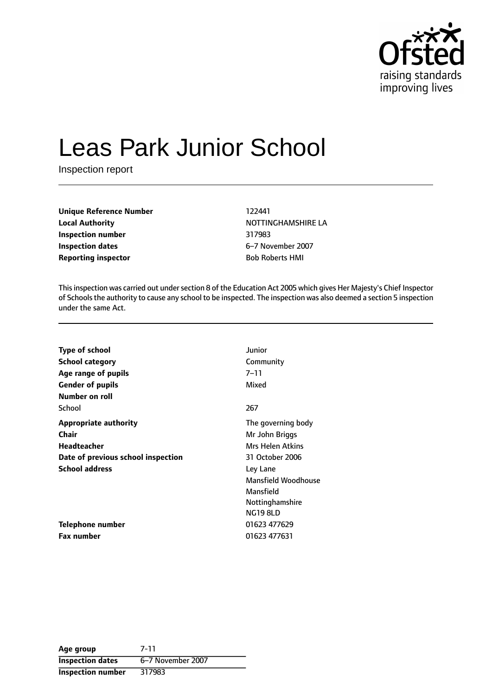

# Leas Park Junior School

Inspection report

**Unique Reference Number** 122441 **Local Authority NOTTINGHAMSHIRE LA Inspection number** 317983 **Inspection dates** 6-7 November 2007 **Reporting inspector Bob Roberts HMI** 

This inspection was carried out under section 8 of the Education Act 2005 which gives Her Majesty's Chief Inspector of Schoolsthe authority to cause any school to be inspected. The inspection was also deemed a section 5 inspection under the same Act.

| <b>Type of school</b>              | Junior                  |
|------------------------------------|-------------------------|
| <b>School category</b>             | Community               |
| Age range of pupils                | $7 - 11$                |
| <b>Gender of pupils</b>            | Mixed                   |
| Number on roll                     |                         |
| School                             | 267                     |
| <b>Appropriate authority</b>       | The governing body      |
| <b>Chair</b>                       | Mr John Briggs          |
| <b>Headteacher</b>                 | <b>Mrs Helen Atkins</b> |
| Date of previous school inspection | 31 October 2006         |
| <b>School address</b>              | Ley Lane                |
|                                    | Mansfield Woodhouse     |
|                                    | Mansfield               |
|                                    | Nottinghamshire         |
|                                    | <b>NG19 8LD</b>         |
| Telephone number                   | 01623 477629            |
| Fax number                         | 01623 477631            |

**Age group** 7-11 **Inspection dates** 6-7 November 2007 **Inspection number** 317983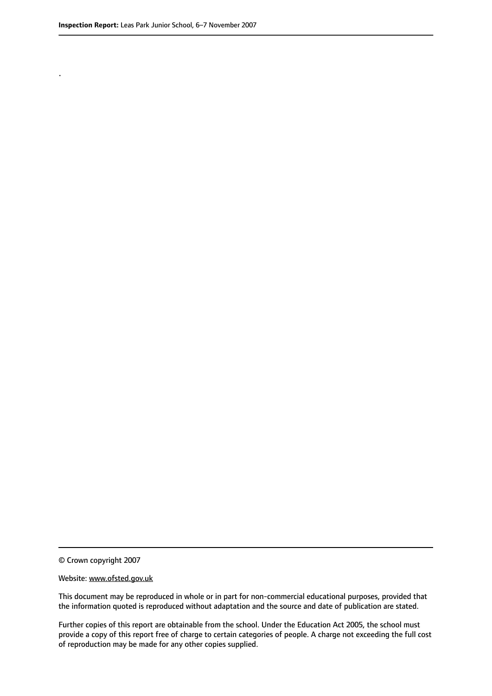.

© Crown copyright 2007

#### Website: www.ofsted.gov.uk

This document may be reproduced in whole or in part for non-commercial educational purposes, provided that the information quoted is reproduced without adaptation and the source and date of publication are stated.

Further copies of this report are obtainable from the school. Under the Education Act 2005, the school must provide a copy of this report free of charge to certain categories of people. A charge not exceeding the full cost of reproduction may be made for any other copies supplied.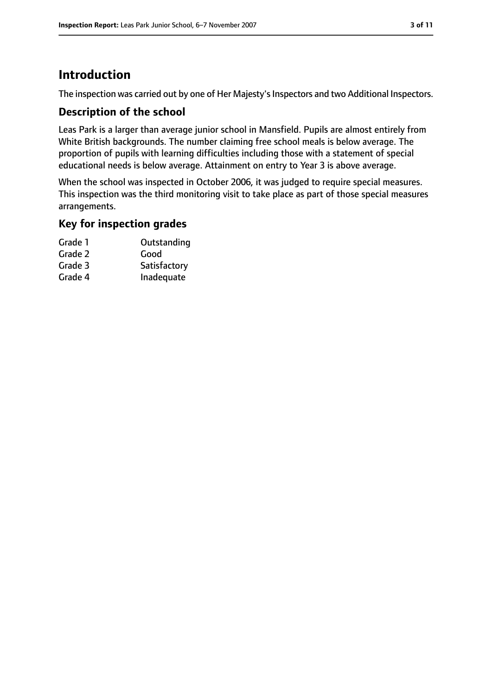### **Introduction**

The inspection was carried out by one of Her Majesty's Inspectors and two Additional Inspectors.

#### **Description of the school**

Leas Park is a larger than average junior school in Mansfield. Pupils are almost entirely from White British backgrounds. The number claiming free school meals is below average. The proportion of pupils with learning difficulties including those with a statement of special educational needs is below average. Attainment on entry to Year 3 is above average.

When the school was inspected in October 2006, it was judged to require special measures. This inspection was the third monitoring visit to take place as part of those special measures arrangements.

### **Key for inspection grades**

| Grade 1 | Outstanding  |
|---------|--------------|
| Grade 2 | Good         |
| Grade 3 | Satisfactory |
| Grade 4 | Inadequate   |
|         |              |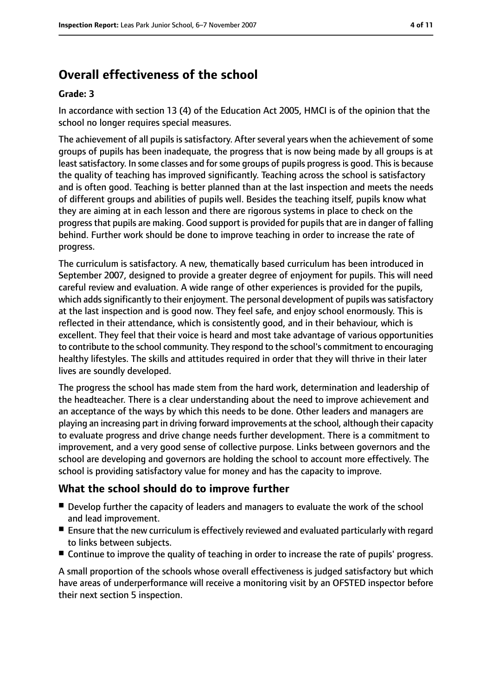### **Overall effectiveness of the school**

#### **Grade: 3**

In accordance with section 13 (4) of the Education Act 2005, HMCI is of the opinion that the school no longer requires special measures.

The achievement of all pupils is satisfactory. After several years when the achievement of some groups of pupils has been inadequate, the progress that is now being made by all groups is at least satisfactory. In some classes and for some groups of pupils progress is good. This is because the quality of teaching has improved significantly. Teaching across the school is satisfactory and is often good. Teaching is better planned than at the last inspection and meets the needs of different groups and abilities of pupils well. Besides the teaching itself, pupils know what they are aiming at in each lesson and there are rigorous systems in place to check on the progress that pupils are making. Good support is provided for pupils that are in danger of falling behind. Further work should be done to improve teaching in order to increase the rate of progress.

The curriculum is satisfactory. A new, thematically based curriculum has been introduced in September 2007, designed to provide a greater degree of enjoyment for pupils. This will need careful review and evaluation. A wide range of other experiences is provided for the pupils, which adds significantly to their enjoyment. The personal development of pupils was satisfactory at the last inspection and is good now. They feel safe, and enjoy school enormously. This is reflected in their attendance, which is consistently good, and in their behaviour, which is excellent. They feel that their voice is heard and most take advantage of various opportunities to contribute to the school community. They respond to the school's commitment to encouraging healthy lifestyles. The skills and attitudes required in order that they will thrive in their later lives are soundly developed.

The progress the school has made stem from the hard work, determination and leadership of the headteacher. There is a clear understanding about the need to improve achievement and an acceptance of the ways by which this needs to be done. Other leaders and managers are playing an increasing part in driving forward improvements at the school, although their capacity to evaluate progress and drive change needs further development. There is a commitment to improvement, and a very good sense of collective purpose. Links between governors and the school are developing and governors are holding the school to account more effectively. The school is providing satisfactory value for money and has the capacity to improve.

#### **What the school should do to improve further**

- Develop further the capacity of leaders and managers to evaluate the work of the school and lead improvement.
- Ensure that the new curriculum is effectively reviewed and evaluated particularly with regard to links between subjects.
- Continue to improve the quality of teaching in order to increase the rate of pupils' progress.

A small proportion of the schools whose overall effectiveness is judged satisfactory but which have areas of underperformance will receive a monitoring visit by an OFSTED inspector before their next section 5 inspection.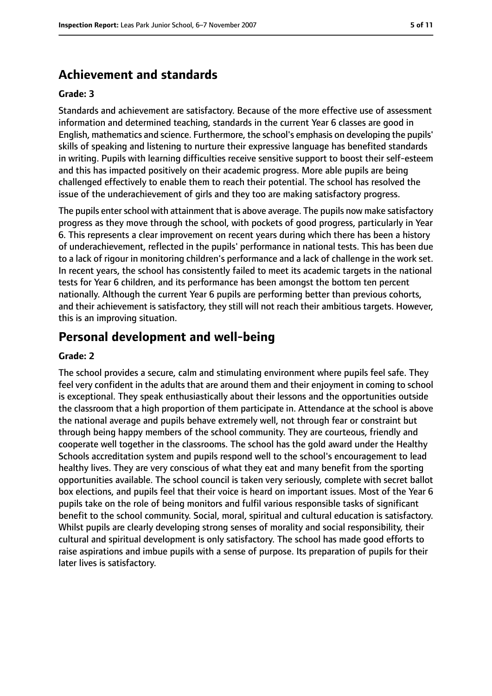### **Achievement and standards**

#### **Grade: 3**

Standards and achievement are satisfactory. Because of the more effective use of assessment information and determined teaching, standards in the current Year 6 classes are good in English, mathematics and science. Furthermore, the school's emphasis on developing the pupils' skills of speaking and listening to nurture their expressive language has benefited standards in writing. Pupils with learning difficulties receive sensitive support to boost their self-esteem and this has impacted positively on their academic progress. More able pupils are being challenged effectively to enable them to reach their potential. The school has resolved the issue of the underachievement of girls and they too are making satisfactory progress.

The pupils enter school with attainment that is above average. The pupils now make satisfactory progress as they move through the school, with pockets of good progress, particularly in Year 6. This represents a clear improvement on recent years during which there has been a history of underachievement, reflected in the pupils' performance in national tests. This has been due to a lack of rigour in monitoring children's performance and a lack of challenge in the work set. In recent years, the school has consistently failed to meet its academic targets in the national tests for Year 6 children, and its performance has been amongst the bottom ten percent nationally. Although the current Year 6 pupils are performing better than previous cohorts, and their achievement is satisfactory, they still will not reach their ambitious targets. However, this is an improving situation.

#### **Personal development and well-being**

#### **Grade: 2**

The school provides a secure, calm and stimulating environment where pupils feel safe. They feel very confident in the adults that are around them and their enjoyment in coming to school is exceptional. They speak enthusiastically about their lessons and the opportunities outside the classroom that a high proportion of them participate in. Attendance at the school is above the national average and pupils behave extremely well, not through fear or constraint but through being happy members of the school community. They are courteous, friendly and cooperate well together in the classrooms. The school has the gold award under the Healthy Schools accreditation system and pupils respond well to the school's encouragement to lead healthy lives. They are very conscious of what they eat and many benefit from the sporting opportunities available. The school council is taken very seriously, complete with secret ballot box elections, and pupils feel that their voice is heard on important issues. Most of the Year 6 pupils take on the role of being monitors and fulfil various responsible tasks of significant benefit to the school community. Social, moral, spiritual and cultural education is satisfactory. Whilst pupils are clearly developing strong senses of morality and social responsibility, their cultural and spiritual development is only satisfactory. The school has made good efforts to raise aspirations and imbue pupils with a sense of purpose. Its preparation of pupils for their later lives is satisfactory.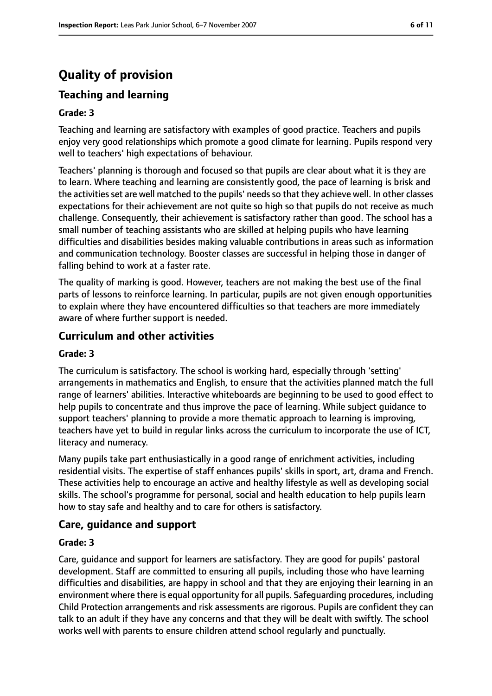## **Quality of provision**

### **Teaching and learning**

#### **Grade: 3**

Teaching and learning are satisfactory with examples of good practice. Teachers and pupils enjoy very good relationships which promote a good climate for learning. Pupils respond very well to teachers' high expectations of behaviour.

Teachers' planning is thorough and focused so that pupils are clear about what it is they are to learn. Where teaching and learning are consistently good, the pace of learning is brisk and the activities set are well matched to the pupils' needs so that they achieve well. In other classes expectations for their achievement are not quite so high so that pupils do not receive as much challenge. Consequently, their achievement is satisfactory rather than good. The school has a small number of teaching assistants who are skilled at helping pupils who have learning difficulties and disabilities besides making valuable contributions in areas such as information and communication technology. Booster classes are successful in helping those in danger of falling behind to work at a faster rate.

The quality of marking is good. However, teachers are not making the best use of the final parts of lessons to reinforce learning. In particular, pupils are not given enough opportunities to explain where they have encountered difficulties so that teachers are more immediately aware of where further support is needed.

#### **Curriculum and other activities**

#### **Grade: 3**

The curriculum is satisfactory. The school is working hard, especially through 'setting' arrangements in mathematics and English, to ensure that the activities planned match the full range of learners' abilities. Interactive whiteboards are beginning to be used to good effect to help pupils to concentrate and thus improve the pace of learning. While subject guidance to support teachers' planning to provide a more thematic approach to learning is improving, teachers have yet to build in regular links across the curriculum to incorporate the use of ICT, literacy and numeracy.

Many pupils take part enthusiastically in a good range of enrichment activities, including residential visits. The expertise of staff enhances pupils' skills in sport, art, drama and French. These activities help to encourage an active and healthy lifestyle as well as developing social skills. The school's programme for personal, social and health education to help pupils learn how to stay safe and healthy and to care for others is satisfactory.

#### **Care, guidance and support**

#### **Grade: 3**

Care, guidance and support for learners are satisfactory. They are good for pupils' pastoral development. Staff are committed to ensuring all pupils, including those who have learning difficulties and disabilities, are happy in school and that they are enjoying their learning in an environment where there is equal opportunity for all pupils. Safeguarding procedures, including Child Protection arrangements and risk assessments are rigorous. Pupils are confident they can talk to an adult if they have any concerns and that they will be dealt with swiftly. The school works well with parents to ensure children attend school regularly and punctually.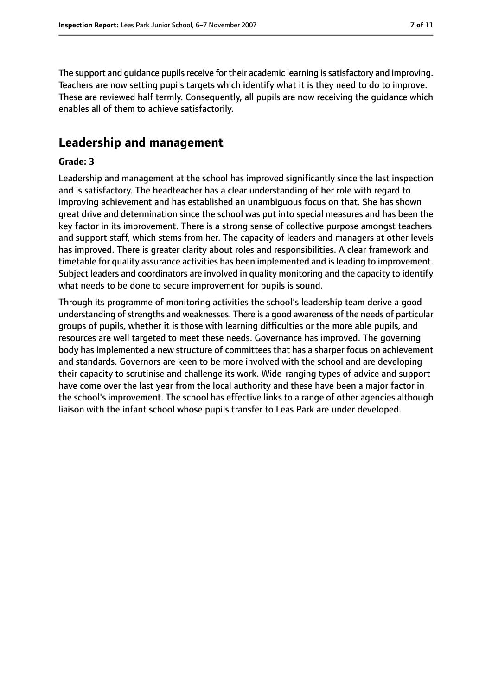The support and quidance pupils receive for their academic learning is satisfactory and improving. Teachers are now setting pupils targets which identify what it is they need to do to improve. These are reviewed half termly. Consequently, all pupils are now receiving the guidance which enables all of them to achieve satisfactorily.

### **Leadership and management**

#### **Grade: 3**

Leadership and management at the school has improved significantly since the last inspection and is satisfactory. The headteacher has a clear understanding of her role with regard to improving achievement and has established an unambiguous focus on that. She has shown great drive and determination since the school was put into special measures and has been the key factor in its improvement. There is a strong sense of collective purpose amongst teachers and support staff, which stems from her. The capacity of leaders and managers at other levels has improved. There is greater clarity about roles and responsibilities. A clear framework and timetable for quality assurance activities has been implemented and is leading to improvement. Subject leaders and coordinators are involved in quality monitoring and the capacity to identify what needs to be done to secure improvement for pupils is sound.

Through its programme of monitoring activities the school's leadership team derive a good understanding of strengths and weaknesses. There is a good awareness of the needs of particular groups of pupils, whether it is those with learning difficulties or the more able pupils, and resources are well targeted to meet these needs. Governance has improved. The governing body has implemented a new structure of committees that has a sharper focus on achievement and standards. Governors are keen to be more involved with the school and are developing their capacity to scrutinise and challenge its work. Wide-ranging types of advice and support have come over the last year from the local authority and these have been a major factor in the school's improvement. The school has effective links to a range of other agencies although liaison with the infant school whose pupils transfer to Leas Park are under developed.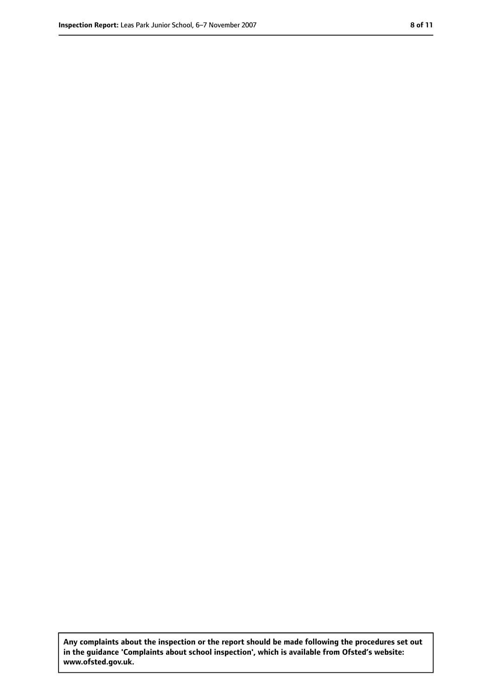**Any complaints about the inspection or the report should be made following the procedures set out in the guidance 'Complaints about school inspection', which is available from Ofsted's website: www.ofsted.gov.uk.**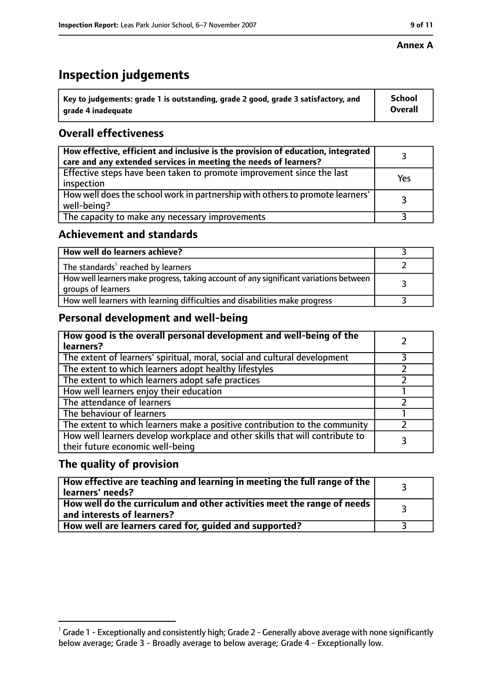#### **Annex A**

### **Inspection judgements**

| $^{\circ}$ Key to judgements: grade 1 is outstanding, grade 2 good, grade 3 satisfactory, and | <b>School</b>  |
|-----------------------------------------------------------------------------------------------|----------------|
| arade 4 inadeguate                                                                            | <b>Overall</b> |

### **Overall effectiveness**

| How effective, efficient and inclusive is the provision of education, integrated<br>care and any extended services in meeting the needs of learners? |     |
|------------------------------------------------------------------------------------------------------------------------------------------------------|-----|
| Effective steps have been taken to promote improvement since the last<br>inspection                                                                  | Yes |
| How well does the school work in partnership with others to promote learners'<br>well-being?                                                         |     |
| The capacity to make any necessary improvements                                                                                                      |     |

### **Achievement and standards**

| How well do learners achieve?                                                                               |  |
|-------------------------------------------------------------------------------------------------------------|--|
| The standards <sup>1</sup> reached by learners                                                              |  |
| How well learners make progress, taking account of any significant variations between<br>groups of learners |  |
| How well learners with learning difficulties and disabilities make progress                                 |  |

### **Personal development and well-being**

| How good is the overall personal development and well-being of the<br>learners?                                  |  |
|------------------------------------------------------------------------------------------------------------------|--|
| The extent of learners' spiritual, moral, social and cultural development                                        |  |
| The extent to which learners adopt healthy lifestyles                                                            |  |
| The extent to which learners adopt safe practices                                                                |  |
| How well learners enjoy their education                                                                          |  |
| The attendance of learners                                                                                       |  |
| The behaviour of learners                                                                                        |  |
| The extent to which learners make a positive contribution to the community                                       |  |
| How well learners develop workplace and other skills that will contribute to<br>their future economic well-being |  |

#### **The quality of provision**

| $\mid$ How effective are teaching and learning in meeting the full range of the $\mid$<br>learners' needs? |  |
|------------------------------------------------------------------------------------------------------------|--|
| How well do the curriculum and other activities meet the range of needs  <br>and interests of learners?    |  |
| How well are learners cared for, guided and supported?                                                     |  |

 $^1$  Grade 1 - Exceptionally and consistently high; Grade 2 - Generally above average with none significantly below average; Grade 3 - Broadly average to below average; Grade 4 - Exceptionally low.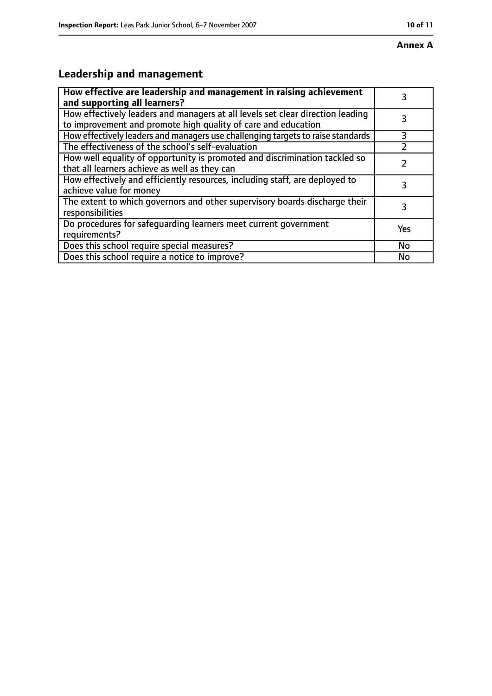#### **Annex A**

### **Leadership and management**

| How effective are leadership and management in raising achievement<br>and supporting all learners?                                              |           |
|-------------------------------------------------------------------------------------------------------------------------------------------------|-----------|
| How effectively leaders and managers at all levels set clear direction leading<br>to improvement and promote high quality of care and education |           |
| How effectively leaders and managers use challenging targets to raise standards                                                                 | 3         |
| The effectiveness of the school's self-evaluation                                                                                               |           |
| How well equality of opportunity is promoted and discrimination tackled so<br>that all learners achieve as well as they can                     |           |
| How effectively and efficiently resources, including staff, are deployed to<br>achieve value for money                                          | 3         |
| The extent to which governors and other supervisory boards discharge their<br>responsibilities                                                  | 3         |
| Do procedures for safequarding learners meet current government<br>requirements?                                                                | Yes       |
| Does this school require special measures?                                                                                                      | <b>No</b> |
| Does this school require a notice to improve?                                                                                                   | No        |